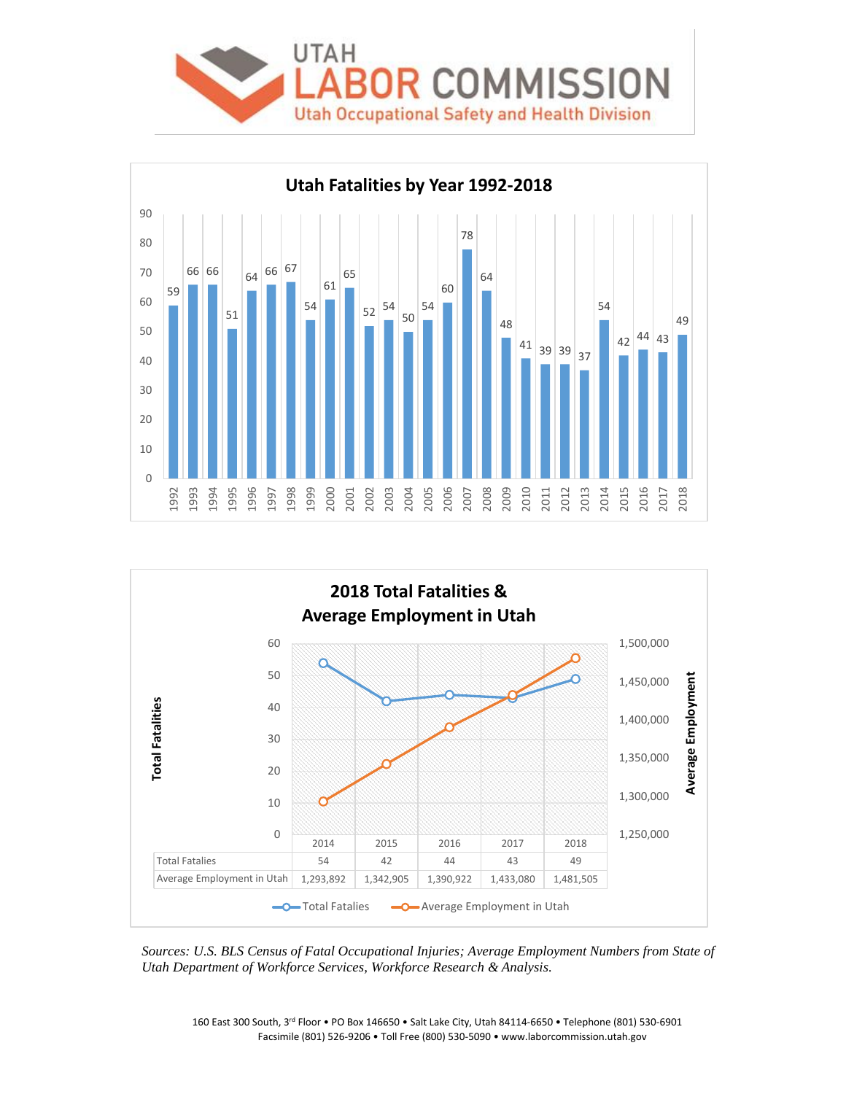





*Sources: U.S. BLS Census of Fatal Occupational Injuries; Average Employment Numbers from State of Utah Department of Workforce Services, Workforce Research & Analysis.*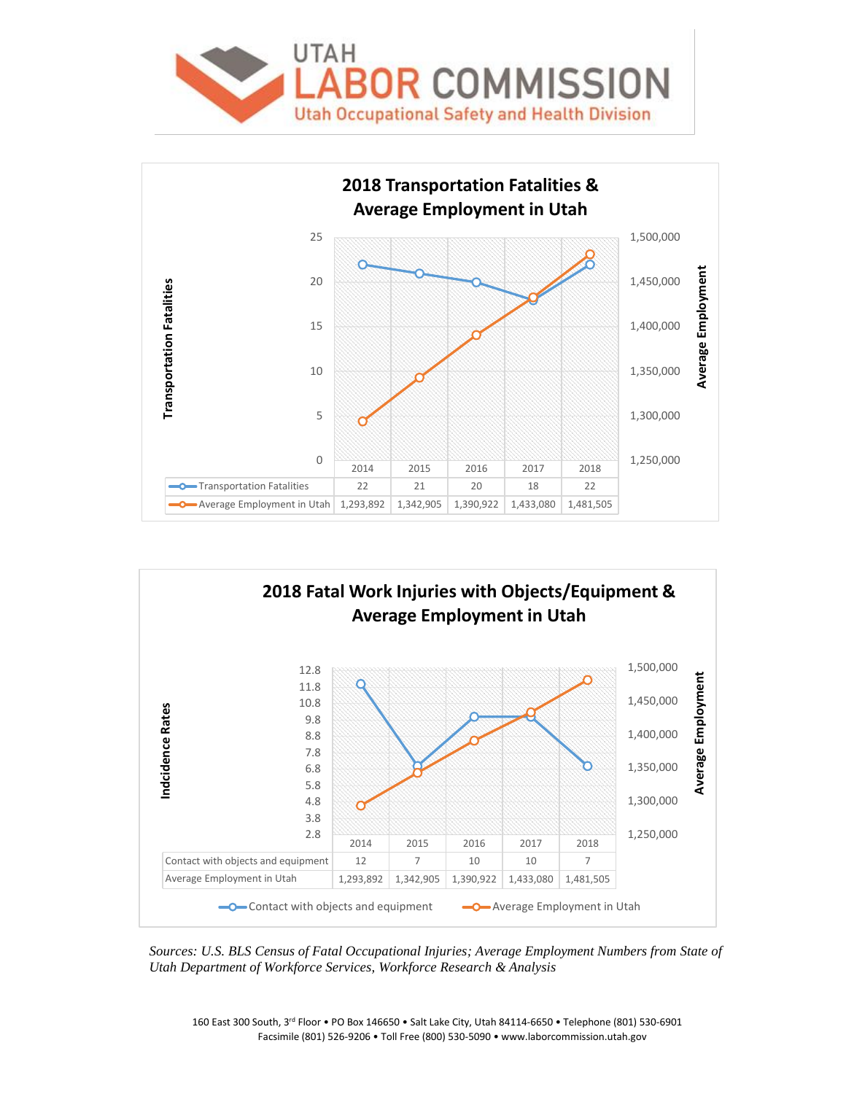





*Sources: U.S. BLS Census of Fatal Occupational Injuries; Average Employment Numbers from State of Utah Department of Workforce Services, Workforce Research & Analysis*